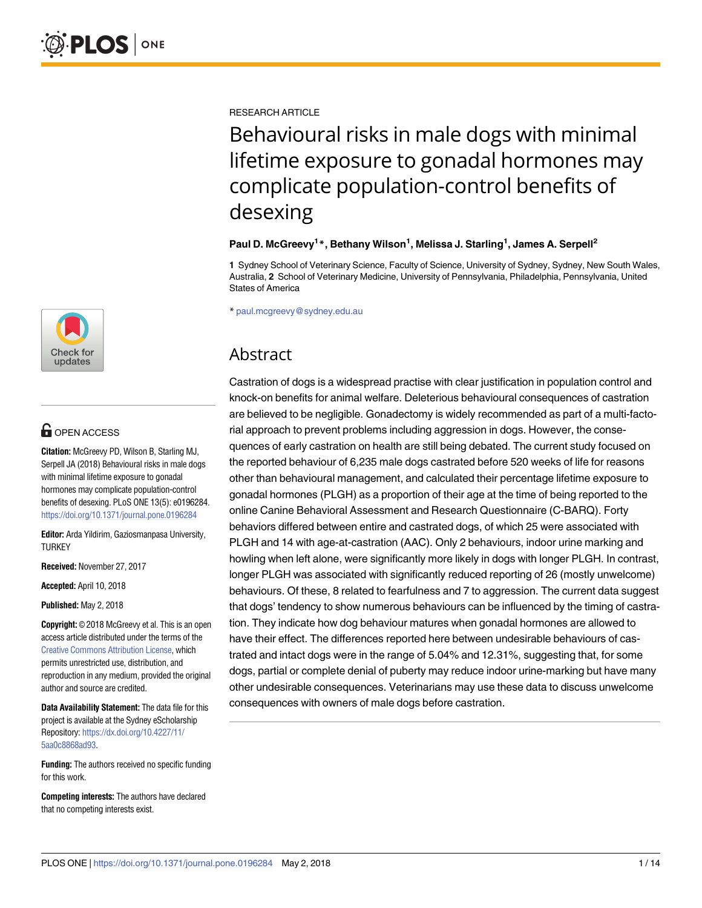

# **OPEN ACCESS**

**Citation:** McGreevy PD, Wilson B, Starling MJ, Serpell JA (2018) Behavioural risks in male dogs with minimal lifetime exposure to gonadal hormones may complicate population-control benefits of desexing. PLoS ONE 13(5): e0196284. <https://doi.org/10.1371/journal.pone.0196284>

**Editor:** Arda Yildirim, Gaziosmanpasa University, TURKEY

**Received:** November 27, 2017

**Accepted:** April 10, 2018

**Published:** May 2, 2018

**Copyright:** © 2018 McGreevy et al. This is an open access article distributed under the terms of the Creative Commons [Attribution](http://creativecommons.org/licenses/by/4.0/) License, which permits unrestricted use, distribution, and reproduction in any medium, provided the original author and source are credited.

**Data Availability Statement:** The data file for this project is available at the Sydney eScholarship Repository: [https://dx.doi.org/10.4227/11/](https://dx.doi.org/10.4227/11/5aa0c8868ad93) [5aa0c8868ad93.](https://dx.doi.org/10.4227/11/5aa0c8868ad93)

**Funding:** The authors received no specific funding for this work.

**Competing interests:** The authors have declared that no competing interests exist.

RESEARCH ARTICLE

# Behavioural risks in male dogs with minimal lifetime exposure to gonadal hormones may complicate population-control benefits of desexing

### **Paul D. McGreevy1 \*, Bethany Wilson1 , Melissa J. Starling1 , James A. Serpell2**

**1** Sydney School of Veterinary Science, Faculty of Science, University of Sydney, Sydney, New South Wales, Australia, **2** School of Veterinary Medicine, University of Pennsylvania, Philadelphia, Pennsylvania, United States of America

\* paul.mcgreevy@sydney.edu.au

# Abstract

Castration of dogs is a widespread practise with clear justification in population control and knock-on benefits for animal welfare. Deleterious behavioural consequences of castration are believed to be negligible. Gonadectomy is widely recommended as part of a multi-factorial approach to prevent problems including aggression in dogs. However, the consequences of early castration on health are still being debated. The current study focused on the reported behaviour of 6,235 male dogs castrated before 520 weeks of life for reasons other than behavioural management, and calculated their percentage lifetime exposure to gonadal hormones (PLGH) as a proportion of their age at the time of being reported to the online Canine Behavioral Assessment and Research Questionnaire (C-BARQ). Forty behaviors differed between entire and castrated dogs, of which 25 were associated with PLGH and 14 with age-at-castration (AAC). Only 2 behaviours, indoor urine marking and howling when left alone, were significantly more likely in dogs with longer PLGH. In contrast, longer PLGH was associated with significantly reduced reporting of 26 (mostly unwelcome) behaviours. Of these, 8 related to fearfulness and 7 to aggression. The current data suggest that dogs' tendency to show numerous behaviours can be influenced by the timing of castration. They indicate how dog behaviour matures when gonadal hormones are allowed to have their effect. The differences reported here between undesirable behaviours of castrated and intact dogs were in the range of 5.04% and 12.31%, suggesting that, for some dogs, partial or complete denial of puberty may reduce indoor urine-marking but have many other undesirable consequences. Veterinarians may use these data to discuss unwelcome consequences with owners of male dogs before castration.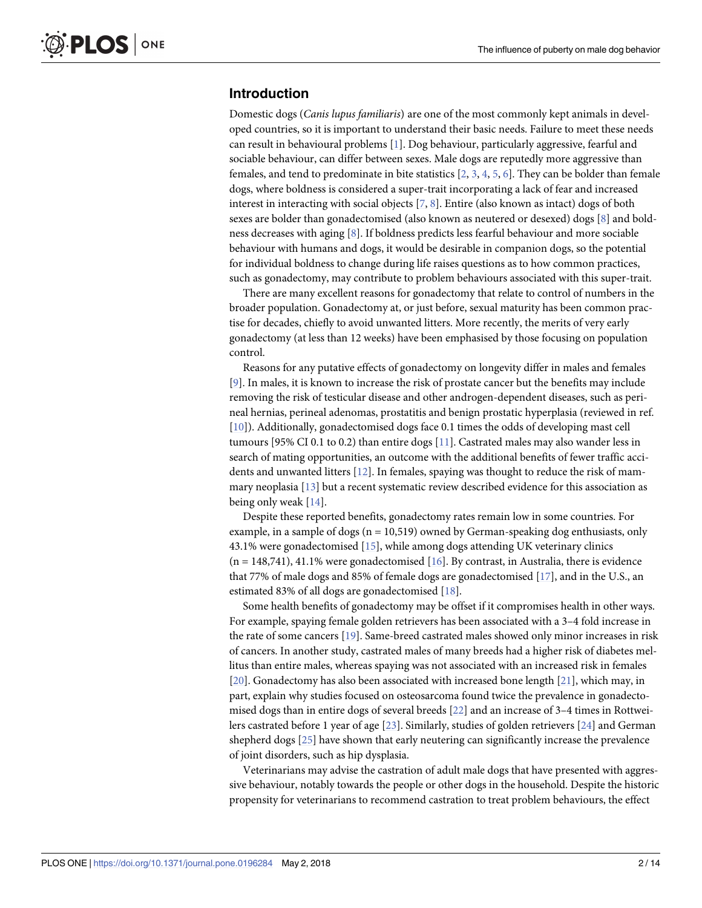# <span id="page-1-0"></span>**Introduction**

Domestic dogs (*Canis lupus familiaris*) are one of the most commonly kept animals in developed countries, so it is important to understand their basic needs. Failure to meet these needs can result in behavioural problems [\[1](#page-11-0)]. Dog behaviour, particularly aggressive, fearful and sociable behaviour, can differ between sexes. Male dogs are reputedly more aggressive than females, and tend to predominate in bite statistics  $[2, 3, 4, 5, 6]$  $[2, 3, 4, 5, 6]$  $[2, 3, 4, 5, 6]$  $[2, 3, 4, 5, 6]$  $[2, 3, 4, 5, 6]$  $[2, 3, 4, 5, 6]$  $[2, 3, 4, 5, 6]$  $[2, 3, 4, 5, 6]$  $[2, 3, 4, 5, 6]$ . They can be bolder than female dogs, where boldness is considered a super-trait incorporating a lack of fear and increased interest in interacting with social objects [\[7,](#page-11-0) [8\]](#page-11-0). Entire (also known as intact) dogs of both sexes are bolder than gonadectomised (also known as neutered or desexed) dogs [\[8\]](#page-11-0) and boldness decreases with aging [\[8\]](#page-11-0). If boldness predicts less fearful behaviour and more sociable behaviour with humans and dogs, it would be desirable in companion dogs, so the potential for individual boldness to change during life raises questions as to how common practices, such as gonadectomy, may contribute to problem behaviours associated with this super-trait.

There are many excellent reasons for gonadectomy that relate to control of numbers in the broader population. Gonadectomy at, or just before, sexual maturity has been common practise for decades, chiefly to avoid unwanted litters. More recently, the merits of very early gonadectomy (at less than 12 weeks) have been emphasised by those focusing on population control.

Reasons for any putative effects of gonadectomy on longevity differ in males and females [\[9](#page-11-0)]. In males, it is known to increase the risk of prostate cancer but the benefits may include removing the risk of testicular disease and other androgen-dependent diseases, such as perineal hernias, perineal adenomas, prostatitis and benign prostatic hyperplasia (reviewed in ref. [\[10\]](#page-11-0)). Additionally, gonadectomised dogs face 0.1 times the odds of developing mast cell tumours [95% CI 0.1 to 0.2) than entire dogs [[11](#page-12-0)]. Castrated males may also wander less in search of mating opportunities, an outcome with the additional benefits of fewer traffic accidents and unwanted litters [\[12\]](#page-12-0). In females, spaying was thought to reduce the risk of mammary neoplasia [\[13](#page-12-0)] but a recent systematic review described evidence for this association as being only weak [\[14\]](#page-12-0).

Despite these reported benefits, gonadectomy rates remain low in some countries. For example, in a sample of dogs ( $n = 10,519$ ) owned by German-speaking dog enthusiasts, only 43.1% were gonadectomised [\[15\]](#page-12-0), while among dogs attending UK veterinary clinics  $(n = 148,741)$ , 41.1% were gonadectomised  $[16]$ . By contrast, in Australia, there is evidence that 77% of male dogs and 85% of female dogs are gonadectomised [[17](#page-12-0)], and in the U.S., an estimated 83% of all dogs are gonadectomised [[18](#page-12-0)].

Some health benefits of gonadectomy may be offset if it compromises health in other ways. For example, spaying female golden retrievers has been associated with a 3–4 fold increase in the rate of some cancers [\[19\]](#page-12-0). Same-breed castrated males showed only minor increases in risk of cancers. In another study, castrated males of many breeds had a higher risk of diabetes mellitus than entire males, whereas spaying was not associated with an increased risk in females [\[20\]](#page-12-0). Gonadectomy has also been associated with increased bone length [\[21\]](#page-12-0), which may, in part, explain why studies focused on osteosarcoma found twice the prevalence in gonadectomised dogs than in entire dogs of several breeds [\[22\]](#page-12-0) and an increase of 3–4 times in Rottweilers castrated before 1 year of age [[23](#page-12-0)]. Similarly, studies of golden retrievers [[24](#page-12-0)] and German shepherd dogs [\[25\]](#page-12-0) have shown that early neutering can significantly increase the prevalence of joint disorders, such as hip dysplasia.

Veterinarians may advise the castration of adult male dogs that have presented with aggressive behaviour, notably towards the people or other dogs in the household. Despite the historic propensity for veterinarians to recommend castration to treat problem behaviours, the effect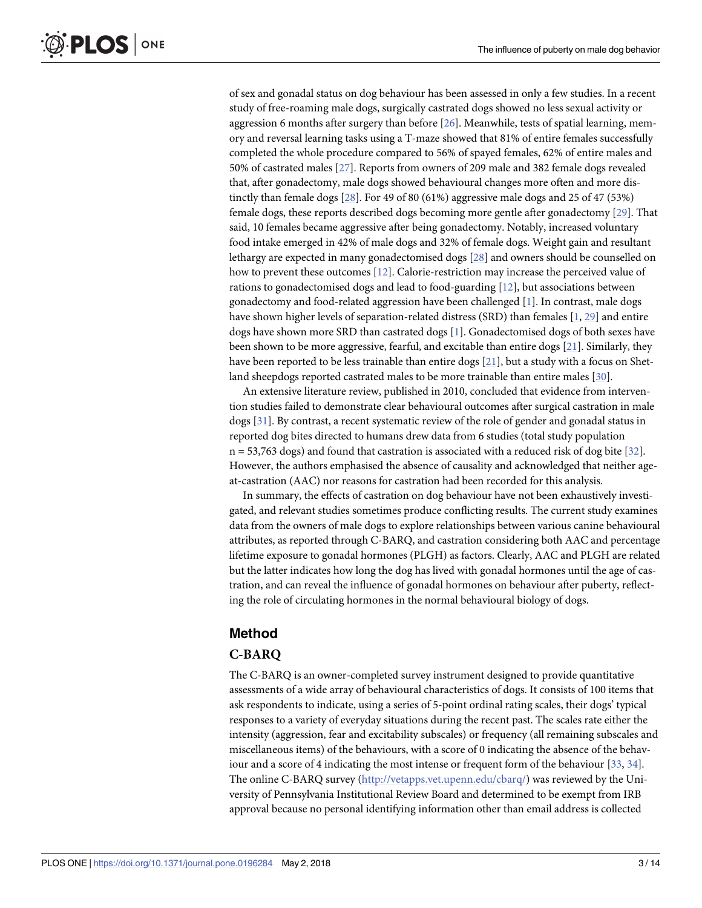<span id="page-2-0"></span>of sex and gonadal status on dog behaviour has been assessed in only a few studies. In a recent study of free-roaming male dogs, surgically castrated dogs showed no less sexual activity or aggression 6 months after surgery than before [\[26\]](#page-12-0). Meanwhile, tests of spatial learning, memory and reversal learning tasks using a T-maze showed that 81% of entire females successfully completed the whole procedure compared to 56% of spayed females, 62% of entire males and 50% of castrated males [[27](#page-12-0)]. Reports from owners of 209 male and 382 female dogs revealed that, after gonadectomy, male dogs showed behavioural changes more often and more distinctly than female dogs [[28](#page-12-0)]. For 49 of 80 (61%) aggressive male dogs and 25 of 47 (53%) female dogs, these reports described dogs becoming more gentle after gonadectomy [[29](#page-12-0)]. That said, 10 females became aggressive after being gonadectomy. Notably, increased voluntary food intake emerged in 42% of male dogs and 32% of female dogs. Weight gain and resultant lethargy are expected in many gonadectomised dogs [\[28\]](#page-12-0) and owners should be counselled on how to prevent these outcomes [\[12\]](#page-12-0). Calorie-restriction may increase the perceived value of rations to gonadectomised dogs and lead to food-guarding [\[12\]](#page-12-0), but associations between gonadectomy and food-related aggression have been challenged [\[1\]](#page-11-0). In contrast, male dogs have shown higher levels of separation-related distress (SRD) than females [[1](#page-11-0), [29](#page-12-0)] and entire dogs have shown more SRD than castrated dogs [\[1\]](#page-11-0). Gonadectomised dogs of both sexes have been shown to be more aggressive, fearful, and excitable than entire dogs [\[21\]](#page-12-0). Similarly, they have been reported to be less trainable than entire dogs [[21](#page-12-0)], but a study with a focus on Shetland sheepdogs reported castrated males to be more trainable than entire males [[30](#page-12-0)].

An extensive literature review, published in 2010, concluded that evidence from intervention studies failed to demonstrate clear behavioural outcomes after surgical castration in male dogs [\[31\]](#page-12-0). By contrast, a recent systematic review of the role of gender and gonadal status in reported dog bites directed to humans drew data from 6 studies (total study population  $n = 53,763$  dogs) and found that castration is associated with a reduced risk of dog bite [\[32\]](#page-12-0). However, the authors emphasised the absence of causality and acknowledged that neither ageat-castration (AAC) nor reasons for castration had been recorded for this analysis.

In summary, the effects of castration on dog behaviour have not been exhaustively investigated, and relevant studies sometimes produce conflicting results. The current study examines data from the owners of male dogs to explore relationships between various canine behavioural attributes, as reported through C-BARQ, and castration considering both AAC and percentage lifetime exposure to gonadal hormones (PLGH) as factors. Clearly, AAC and PLGH are related but the latter indicates how long the dog has lived with gonadal hormones until the age of castration, and can reveal the influence of gonadal hormones on behaviour after puberty, reflecting the role of circulating hormones in the normal behavioural biology of dogs.

# **Method**

# **C-BARQ**

The C-BARQ is an owner-completed survey instrument designed to provide quantitative assessments of a wide array of behavioural characteristics of dogs. It consists of 100 items that ask respondents to indicate, using a series of 5-point ordinal rating scales, their dogs' typical responses to a variety of everyday situations during the recent past. The scales rate either the intensity (aggression, fear and excitability subscales) or frequency (all remaining subscales and miscellaneous items) of the behaviours, with a score of 0 indicating the absence of the behaviour and a score of 4 indicating the most intense or frequent form of the behaviour [\[33,](#page-13-0) [34](#page-13-0)]. The online C-BARQ survey ([http://vetapps.vet.upenn.edu/cbarq/\)](https://protect-au.mimecast.com/s/bZ89Bmue6abnfq?domain=vetapps.vet.upenn.edu) was reviewed by the University of Pennsylvania Institutional Review Board and determined to be exempt from IRB approval because no personal identifying information other than email address is collected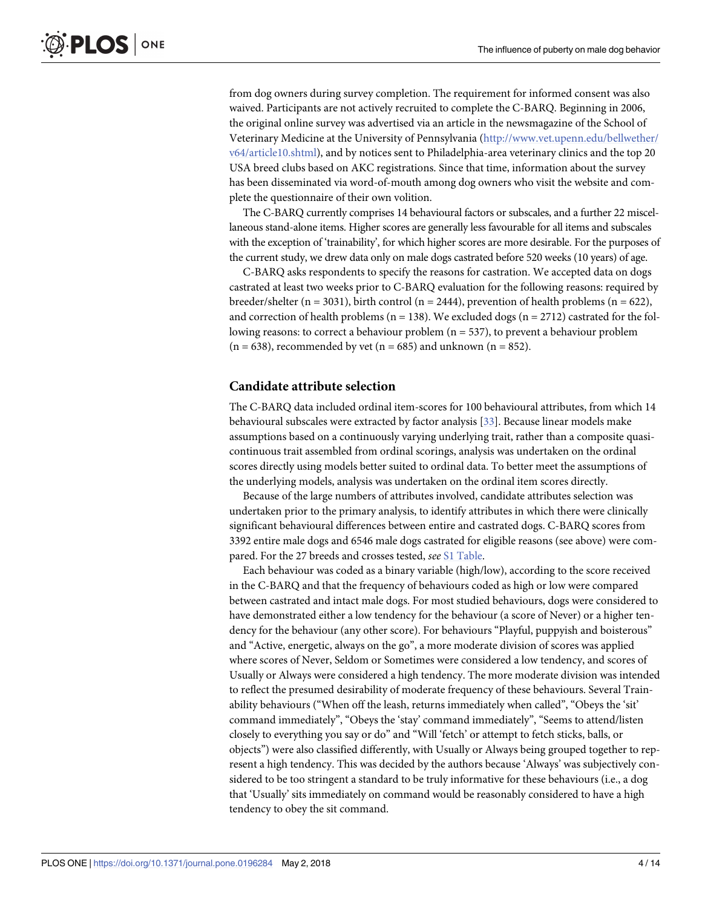from dog owners during survey completion. The requirement for informed consent was also waived. Participants are not actively recruited to complete the C-BARQ. Beginning in 2006, the original online survey was advertised via an article in the newsmagazine of the School of Veterinary Medicine at the University of Pennsylvania ([http://www.vet.upenn.edu/bellwether/](https://protect-au.mimecast.com/s/Jb1WBnUnpkKgTb?domain=vet.upenn.edu) [v64/article10.shtml](https://protect-au.mimecast.com/s/Jb1WBnUnpkKgTb?domain=vet.upenn.edu)), and by notices sent to Philadelphia-area veterinary clinics and the top 20 USA breed clubs based on AKC registrations. Since that time, information about the survey has been disseminated via word-of-mouth among dog owners who visit the website and complete the questionnaire of their own volition.

The C-BARQ currently comprises 14 behavioural factors or subscales, and a further 22 miscellaneous stand-alone items. Higher scores are generally less favourable for all items and subscales with the exception of 'trainability', for which higher scores are more desirable. For the purposes of the current study, we drew data only on male dogs castrated before 520 weeks (10 years) of age.

C-BARQ asks respondents to specify the reasons for castration. We accepted data on dogs castrated at least two weeks prior to C-BARQ evaluation for the following reasons: required by breeder/shelter (n = 3031), birth control (n = 2444), prevention of health problems (n = 622), and correction of health problems ( $n = 138$ ). We excluded dogs ( $n = 2712$ ) castrated for the following reasons: to correct a behaviour problem  $(n = 537)$ , to prevent a behaviour problem  $(n = 638)$ , recommended by vet  $(n = 685)$  and unknown  $(n = 852)$ .

#### **Candidate attribute selection**

The C-BARQ data included ordinal item-scores for 100 behavioural attributes, from which 14 behavioural subscales were extracted by factor analysis [[33](#page-13-0)]. Because linear models make assumptions based on a continuously varying underlying trait, rather than a composite quasicontinuous trait assembled from ordinal scorings, analysis was undertaken on the ordinal scores directly using models better suited to ordinal data. To better meet the assumptions of the underlying models, analysis was undertaken on the ordinal item scores directly.

Because of the large numbers of attributes involved, candidate attributes selection was undertaken prior to the primary analysis, to identify attributes in which there were clinically significant behavioural differences between entire and castrated dogs. C-BARQ scores from 3392 entire male dogs and 6546 male dogs castrated for eligible reasons (see above) were compared. For the 27 breeds and crosses tested, *see* S1 [Table.](#page-11-0)

Each behaviour was coded as a binary variable (high/low), according to the score received in the C-BARQ and that the frequency of behaviours coded as high or low were compared between castrated and intact male dogs. For most studied behaviours, dogs were considered to have demonstrated either a low tendency for the behaviour (a score of Never) or a higher tendency for the behaviour (any other score). For behaviours "Playful, puppyish and boisterous" and "Active, energetic, always on the go", a more moderate division of scores was applied where scores of Never, Seldom or Sometimes were considered a low tendency, and scores of Usually or Always were considered a high tendency. The more moderate division was intended to reflect the presumed desirability of moderate frequency of these behaviours. Several Trainability behaviours ("When off the leash, returns immediately when called", "Obeys the 'sit' command immediately", "Obeys the 'stay' command immediately", "Seems to attend/listen closely to everything you say or do" and "Will 'fetch' or attempt to fetch sticks, balls, or objects") were also classified differently, with Usually or Always being grouped together to represent a high tendency. This was decided by the authors because 'Always' was subjectively considered to be too stringent a standard to be truly informative for these behaviours (i.e., a dog that 'Usually' sits immediately on command would be reasonably considered to have a high tendency to obey the sit command.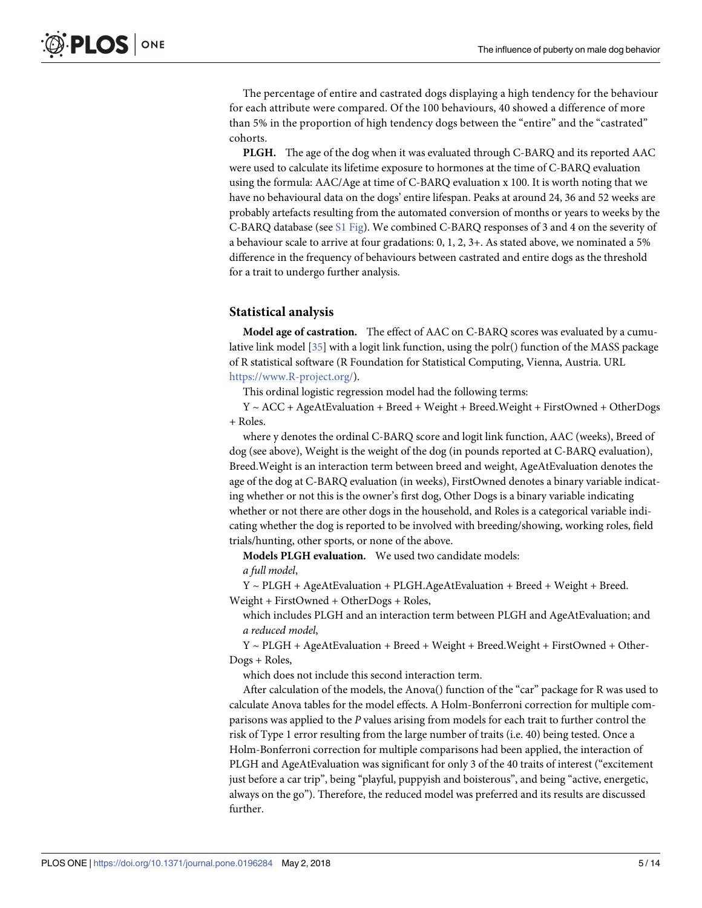<span id="page-4-0"></span>The percentage of entire and castrated dogs displaying a high tendency for the behaviour for each attribute were compared. Of the 100 behaviours, 40 showed a difference of more than 5% in the proportion of high tendency dogs between the "entire" and the "castrated" cohorts.

**PLGH.** The age of the dog when it was evaluated through C-BARQ and its reported AAC were used to calculate its lifetime exposure to hormones at the time of C-BARQ evaluation using the formula: AAC/Age at time of C-BARQ evaluation x 100. It is worth noting that we have no behavioural data on the dogs' entire lifespan. Peaks at around 24, 36 and 52 weeks are probably artefacts resulting from the automated conversion of months or years to weeks by the C-BARQ database (see S1 [Fig](#page-11-0)). We combined C-BARQ responses of 3 and 4 on the severity of a behaviour scale to arrive at four gradations: 0, 1, 2, 3+. As stated above, we nominated a 5% difference in the frequency of behaviours between castrated and entire dogs as the threshold for a trait to undergo further analysis.

#### **Statistical analysis**

**Model age of castration.** The effect of AAC on C-BARQ scores was evaluated by a cumulative link model [\[35\]](#page-13-0) with a logit link function, using the polr() function of the MASS package of R statistical software (R Foundation for Statistical Computing, Vienna, Austria. URL <https://www.R-project.org/>).

This ordinal logistic regression model had the following terms:

 $Y \sim ACC + AgeAtEvaluation + Breed + Weight + Breed. Weight + FirstOwned + OtherDogs$ + Roles.

where y denotes the ordinal C-BARQ score and logit link function, AAC (weeks), Breed of dog (see above), Weight is the weight of the dog (in pounds reported at C-BARQ evaluation), Breed.Weight is an interaction term between breed and weight, AgeAtEvaluation denotes the age of the dog at C-BARQ evaluation (in weeks), FirstOwned denotes a binary variable indicating whether or not this is the owner's first dog, Other Dogs is a binary variable indicating whether or not there are other dogs in the household, and Roles is a categorical variable indicating whether the dog is reported to be involved with breeding/showing, working roles, field trials/hunting, other sports, or none of the above.

**Models PLGH evaluation.** We used two candidate models:

*a full model*,

Y ~ PLGH + AgeAtEvaluation + PLGH.AgeAtEvaluation + Breed + Weight + Breed. Weight + FirstOwned + OtherDogs + Roles,

which includes PLGH and an interaction term between PLGH and AgeAtEvaluation; and *a reduced model*,

Y ~ PLGH + AgeAtEvaluation + Breed + Weight + Breed.Weight + FirstOwned + Other-Dogs + Roles,

which does not include this second interaction term.

After calculation of the models, the Anova() function of the "car" package for R was used to calculate Anova tables for the model effects. A Holm-Bonferroni correction for multiple comparisons was applied to the *P* values arising from models for each trait to further control the risk of Type 1 error resulting from the large number of traits (i.e. 40) being tested. Once a Holm-Bonferroni correction for multiple comparisons had been applied, the interaction of PLGH and AgeAtEvaluation was significant for only 3 of the 40 traits of interest ("excitement just before a car trip", being "playful, puppyish and boisterous", and being "active, energetic, always on the go"). Therefore, the reduced model was preferred and its results are discussed further.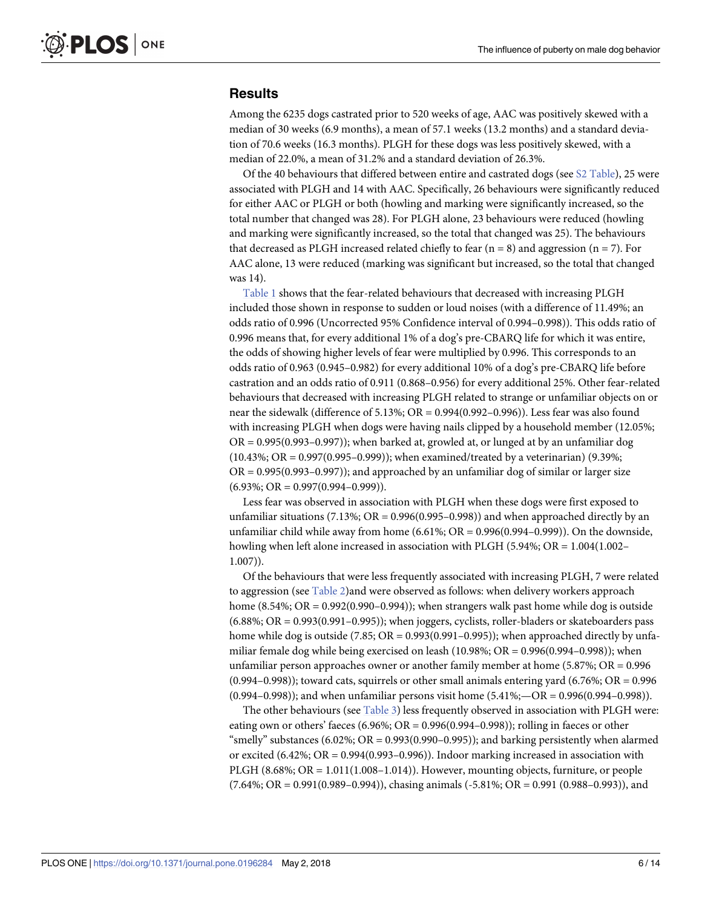# <span id="page-5-0"></span>**Results**

Among the 6235 dogs castrated prior to 520 weeks of age, AAC was positively skewed with a median of 30 weeks (6.9 months), a mean of 57.1 weeks (13.2 months) and a standard deviation of 70.6 weeks (16.3 months). PLGH for these dogs was less positively skewed, with a median of 22.0%, a mean of 31.2% and a standard deviation of 26.3%.

Of the 40 behaviours that differed between entire and castrated dogs (see S2 [Table\)](#page-11-0), 25 were associated with PLGH and 14 with AAC. Specifically, 26 behaviours were significantly reduced for either AAC or PLGH or both (howling and marking were significantly increased, so the total number that changed was 28). For PLGH alone, 23 behaviours were reduced (howling and marking were significantly increased, so the total that changed was 25). The behaviours that decreased as PLGH increased related chiefly to fear  $(n = 8)$  and aggression  $(n = 7)$ . For AAC alone, 13 were reduced (marking was significant but increased, so the total that changed was 14).

[Table](#page-6-0) 1 shows that the fear-related behaviours that decreased with increasing PLGH included those shown in response to sudden or loud noises (with a difference of 11.49%; an odds ratio of 0.996 (Uncorrected 95% Confidence interval of 0.994–0.998)). This odds ratio of 0.996 means that, for every additional 1% of a dog's pre-CBARQ life for which it was entire, the odds of showing higher levels of fear were multiplied by 0.996. This corresponds to an odds ratio of 0.963 (0.945–0.982) for every additional 10% of a dog's pre-CBARQ life before castration and an odds ratio of 0.911 (0.868–0.956) for every additional 25%. Other fear-related behaviours that decreased with increasing PLGH related to strange or unfamiliar objects on or near the sidewalk (difference of 5.13%; OR = 0.994(0.992–0.996)). Less fear was also found with increasing PLGH when dogs were having nails clipped by a household member (12.05%;  $OR = 0.995(0.993-0.997)$ ; when barked at, growled at, or lunged at by an unfamiliar dog (10.43%; OR = 0.997(0.995–0.999)); when examined/treated by a veterinarian) (9.39%;  $OR = 0.995(0.993-0.997)$ ; and approached by an unfamiliar dog of similar or larger size  $(6.93\%; \text{OR} = 0.997(0.994 - 0.999)).$ 

Less fear was observed in association with PLGH when these dogs were first exposed to unfamiliar situations  $(7.13\%; \text{OR} = 0.996(0.995 - 0.998))$  and when approached directly by an unfamiliar child while away from home  $(6.61\%; OR = 0.996(0.994-0.999))$ . On the downside, howling when left alone increased in association with PLGH (5.94%; OR = 1.004(1.002– 1.007)).

Of the behaviours that were less frequently associated with increasing PLGH, 7 were related to aggression (see [Table](#page-7-0) 2)and were observed as follows: when delivery workers approach home (8.54%; OR = 0.992(0.990–0.994)); when strangers walk past home while dog is outside (6.88%; OR = 0.993(0.991–0.995)); when joggers, cyclists, roller-bladers or skateboarders pass home while dog is outside (7.85;  $OR = 0.993(0.991-0.995)$ ); when approached directly by unfamiliar female dog while being exercised on leash (10.98%;  $OR = 0.996(0.994 - 0.998)$ ); when unfamiliar person approaches owner or another family member at home (5.87%; OR = 0.996  $(0.994-0.998)$ ; toward cats, squirrels or other small animals entering yard  $(6.76\%; OR = 0.996)$ (0.994–0.998)); and when unfamiliar persons visit home (5.41%;—OR = 0.996(0.994–0.998)).

The other behaviours (see [Table](#page-7-0) 3) less frequently observed in association with PLGH were: eating own or others' faeces (6.96%;  $OR = 0.996(0.994 - 0.998)$ ); rolling in faeces or other "smelly" substances  $(6.02\%; \text{OR} = 0.993(0.990-0.995))$ ; and barking persistently when alarmed or excited (6.42%; OR = 0.994(0.993–0.996)). Indoor marking increased in association with PLGH  $(8.68\%; OR = 1.011(1.008-1.014))$ . However, mounting objects, furniture, or people  $(7.64\%; \text{OR} = 0.991(0.989 - 0.994))$ , chasing animals  $(-5.81\%; \text{OR} = 0.991(0.988 - 0.993))$ , and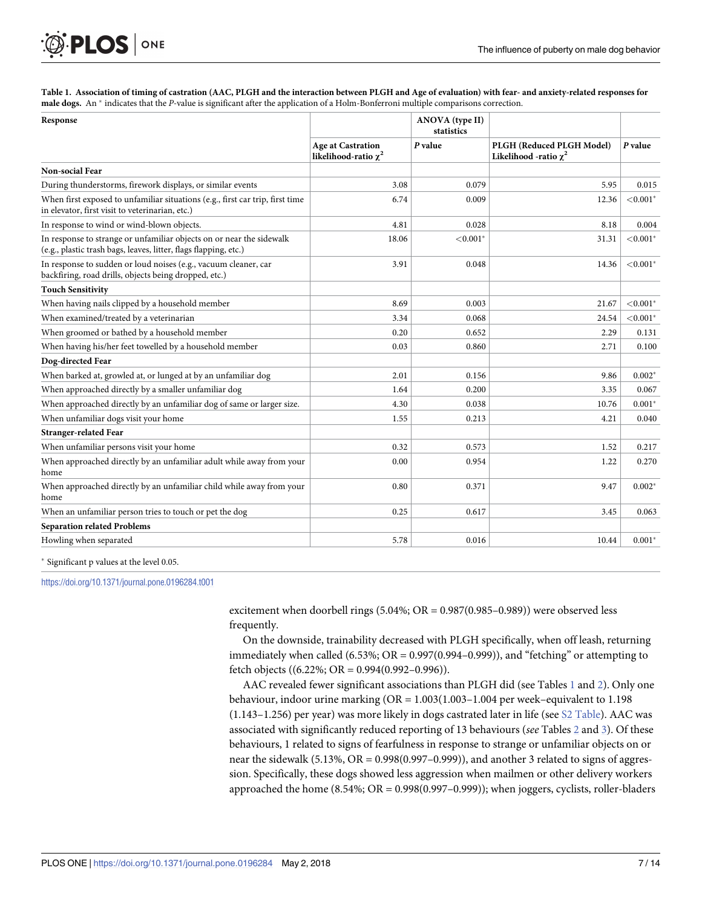[Table](#page-5-0) 1. Association of timing of castration (AAC, PLGH and the interaction between PLGH and Age of evaluation) with fear- and anxiety-related responses for **male dogs.** An indicates that the *P*-value is significant after the application of a Holm-Bonferroni multiple comparisons correction.

| Response                                                                                                                                 |                                                       | ANOVA (type II)<br>statistics |                                                         |             |
|------------------------------------------------------------------------------------------------------------------------------------------|-------------------------------------------------------|-------------------------------|---------------------------------------------------------|-------------|
|                                                                                                                                          | <b>Age at Castration</b><br>likelihood-ratio $\chi^2$ | P value                       | PLGH (Reduced PLGH Model)<br>Likelihood -ratio $\chi^2$ | P value     |
| <b>Non-social Fear</b>                                                                                                                   |                                                       |                               |                                                         |             |
| During thunderstorms, firework displays, or similar events                                                                               | 3.08                                                  | 0.079                         | 5.95                                                    | 0.015       |
| When first exposed to unfamiliar situations (e.g., first car trip, first time<br>in elevator, first visit to veterinarian, etc.)         | 6.74                                                  | 0.009                         | 12.36                                                   | $< 0.001*$  |
| In response to wind or wind-blown objects.                                                                                               | 4.81                                                  | 0.028                         | 8.18                                                    | 0.004       |
| In response to strange or unfamiliar objects on or near the sidewalk<br>(e.g., plastic trash bags, leaves, litter, flags flapping, etc.) | 18.06                                                 | $< 0.001*$                    | 31.31                                                   | $< 0.001*$  |
| In response to sudden or loud noises (e.g., vacuum cleaner, car<br>backfiring, road drills, objects being dropped, etc.)                 | 3.91                                                  | 0.048                         | 14.36                                                   | $< 0.001*$  |
| <b>Touch Sensitivity</b>                                                                                                                 |                                                       |                               |                                                         |             |
| When having nails clipped by a household member                                                                                          | 8.69                                                  | 0.003                         | 21.67                                                   | ${<}0.001*$ |
| When examined/treated by a veterinarian                                                                                                  | 3.34                                                  | 0.068                         | 24.54                                                   | ${<}0.001*$ |
| When groomed or bathed by a household member                                                                                             | 0.20                                                  | 0.652                         | 2.29                                                    | 0.131       |
| When having his/her feet towelled by a household member                                                                                  | 0.03                                                  | 0.860                         | 2.71                                                    | 0.100       |
| Dog-directed Fear                                                                                                                        |                                                       |                               |                                                         |             |
| When barked at, growled at, or lunged at by an unfamiliar dog                                                                            | 2.01                                                  | 0.156                         | 9.86                                                    | $0.002*$    |
| When approached directly by a smaller unfamiliar dog                                                                                     | 1.64                                                  | 0.200                         | 3.35                                                    | 0.067       |
| When approached directly by an unfamiliar dog of same or larger size.                                                                    | 4.30                                                  | 0.038                         | 10.76                                                   | $0.001*$    |
| When unfamiliar dogs visit your home                                                                                                     | 1.55                                                  | 0.213                         | 4.21                                                    | 0.040       |
| <b>Stranger-related Fear</b>                                                                                                             |                                                       |                               |                                                         |             |
| When unfamiliar persons visit your home                                                                                                  | 0.32                                                  | 0.573                         | 1.52                                                    | 0.217       |
| When approached directly by an unfamiliar adult while away from your<br>home                                                             | 0.00                                                  | 0.954                         | 1.22                                                    | 0.270       |
| When approached directly by an unfamiliar child while away from your<br>home                                                             | 0.80                                                  | 0.371                         | 9.47                                                    | $0.002*$    |
| When an unfamiliar person tries to touch or pet the dog                                                                                  | 0.25                                                  | 0.617                         | 3.45                                                    | 0.063       |
| <b>Separation related Problems</b>                                                                                                       |                                                       |                               |                                                         |             |
| Howling when separated                                                                                                                   | 5.78                                                  | 0.016                         | 10.44                                                   | $0.001*$    |

Significant p values at the level 0.05.

<https://doi.org/10.1371/journal.pone.0196284.t001>

ONE

<span id="page-6-0"></span>PLOS I

excitement when doorbell rings (5.04%; OR = 0.987(0.985–0.989)) were observed less frequently.

On the downside, trainability decreased with PLGH specifically, when off leash, returning immediately when called  $(6.53\%; OR = 0.997(0.994-0.999))$ , and "fetching" or attempting to fetch objects ((6.22%; OR = 0.994(0.992–0.996)).

AAC revealed fewer significant associations than PLGH did (see Tables  $1$  and  $2$ ). Only one behaviour, indoor urine marking (OR = 1.003(1.003–1.004 per week–equivalent to 1.198 (1.143–1.256) per year) was more likely in dogs castrated later in life (see S2 [Table\)](#page-11-0). AAC was associated with significantly reduced reporting of 13 behaviours (*see* Tables [2](#page-7-0) and [3](#page-7-0)). Of these behaviours, 1 related to signs of fearfulness in response to strange or unfamiliar objects on or near the sidewalk (5.13%,  $OR = 0.998(0.997-0.999)$ ), and another 3 related to signs of aggression. Specifically, these dogs showed less aggression when mailmen or other delivery workers approached the home (8.54%; OR = 0.998(0.997–0.999)); when joggers, cyclists, roller-bladers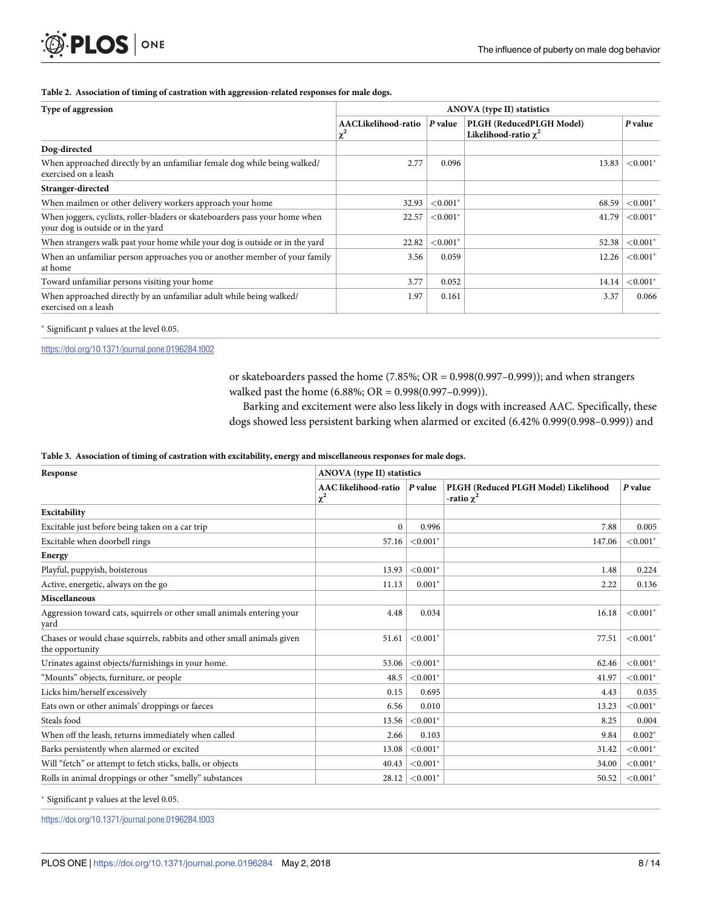| Type of aggression                                                                                                | ANOVA (type II) statistics      |             |                                                       |             |  |
|-------------------------------------------------------------------------------------------------------------------|---------------------------------|-------------|-------------------------------------------------------|-------------|--|
|                                                                                                                   | AACLikelihood-ratio<br>$\chi^2$ | P value     | PLGH (ReducedPLGH Model)<br>Likelihood-ratio $\chi^2$ | P value     |  |
| Dog-directed                                                                                                      |                                 |             |                                                       |             |  |
| When approached directly by an unfamiliar female dog while being walked/<br>exercised on a leash                  | 2.77                            | 0.096       | 13.83                                                 | ${<}0.001*$ |  |
| Stranger-directed                                                                                                 |                                 |             |                                                       |             |  |
| When mailmen or other delivery workers approach your home                                                         | 32.93                           | ${<}0.001*$ | 68.59                                                 | ${<}0.001*$ |  |
| When joggers, cyclists, roller-bladers or skateboarders pass your home when<br>your dog is outside or in the yard | 22.57                           | ${<}0.001*$ | 41.79                                                 | ${<}0.001*$ |  |
| When strangers walk past your home while your dog is outside or in the yard                                       | 22.82                           | ${<}0.001*$ | 52.38                                                 | ${<}0.001*$ |  |
| When an unfamiliar person approaches you or another member of your family<br>at home                              | 3.56                            | 0.059       | 12.26                                                 | ${<}0.001*$ |  |
| Toward unfamiliar persons visiting your home                                                                      | 3.77                            | 0.052       | 14.14                                                 | ${<}0.001*$ |  |
| When approached directly by an unfamiliar adult while being walked/<br>exercised on a leash                       | 1.97                            | 0.161       | 3.37                                                  | 0.066       |  |

#### <span id="page-7-0"></span>**[Table](#page-5-0) 2. Association of timing of castration with aggression-related responses for male dogs.**

Significant p values at the level 0.05.

<https://doi.org/10.1371/journal.pone.0196284.t002>

or skateboarders passed the home (7.85%; OR = 0.998(0.997–0.999)); and when strangers walked past the home (6.88%; OR = 0.998(0.997–0.999)).

Barking and excitement were also less likely in dogs with increased AAC. Specifically, these dogs showed less persistent barking when alarmed or excited (6.42% 0.999(0.998–0.999)) and

#### [Table](#page-5-0) 3. Association of timing of castration with excitability, energy and miscellaneous responses for male dogs.

| Response                                                                                  | ANOVA (type II) statistics              |             |                                                         |             |  |
|-------------------------------------------------------------------------------------------|-----------------------------------------|-------------|---------------------------------------------------------|-------------|--|
|                                                                                           | <b>AAC likelihood-ratio</b><br>$\chi^2$ | P value     | PLGH (Reduced PLGH Model) Likelihood<br>-ratio $\chi^2$ | P value     |  |
| Excitability                                                                              |                                         |             |                                                         |             |  |
| Excitable just before being taken on a car trip                                           | $\overline{0}$                          | 0.996       | 7.88                                                    | 0.005       |  |
| Excitable when doorbell rings                                                             | 57.16                                   | ${<}0.001*$ | 147.06                                                  | ${<}0.001*$ |  |
| <b>Energy</b>                                                                             |                                         |             |                                                         |             |  |
| Playful, puppyish, boisterous                                                             | 13.93                                   | ${<}0.001*$ | 1.48                                                    | 0.224       |  |
| Active, energetic, always on the go                                                       | 11.13                                   | $0.001*$    | 2.22                                                    | 0.136       |  |
| <b>Miscellaneous</b>                                                                      |                                         |             |                                                         |             |  |
| Aggression toward cats, squirrels or other small animals entering your<br>yard            | 4.48                                    | 0.034       | 16.18                                                   | ${<}0.001*$ |  |
| Chases or would chase squirrels, rabbits and other small animals given<br>the opportunity | 51.61                                   | ${<}0.001*$ | 77.51                                                   | ${<}0.001*$ |  |
| Urinates against objects/furnishings in your home.                                        | 53.06                                   | ${<}0.001*$ | 62.46                                                   | $< 0.001*$  |  |
| "Mounts" objects, furniture, or people                                                    | 48.5                                    | $< 0.001*$  | 41.97                                                   | ${<}0.001*$ |  |
| Licks him/herself excessively                                                             | 0.15                                    | 0.695       | 4.43                                                    | 0.035       |  |
| Eats own or other animals' droppings or faeces                                            | 6.56                                    | 0.010       | 13.23                                                   | ${<}0.001*$ |  |
| Steals food                                                                               | 13.56                                   | ${<}0.001*$ | 8.25                                                    | 0.004       |  |
| When off the leash, returns immediately when called                                       | 2.66                                    | 0.103       | 9.84                                                    | $0.002*$    |  |
| Barks persistently when alarmed or excited                                                | 13.08                                   | ${<}0.001*$ | 31.42                                                   | ${<}0.001*$ |  |
| Will "fetch" or attempt to fetch sticks, balls, or objects                                | 40.43                                   | ${<}0.001*$ | 34.00                                                   | $< 0.001*$  |  |
| Rolls in animal droppings or other "smelly" substances                                    | 28.12                                   | ${<}0.001*$ | 50.52                                                   | ${<}0.001*$ |  |

Significant p values at the level 0.05.

<https://doi.org/10.1371/journal.pone.0196284.t003>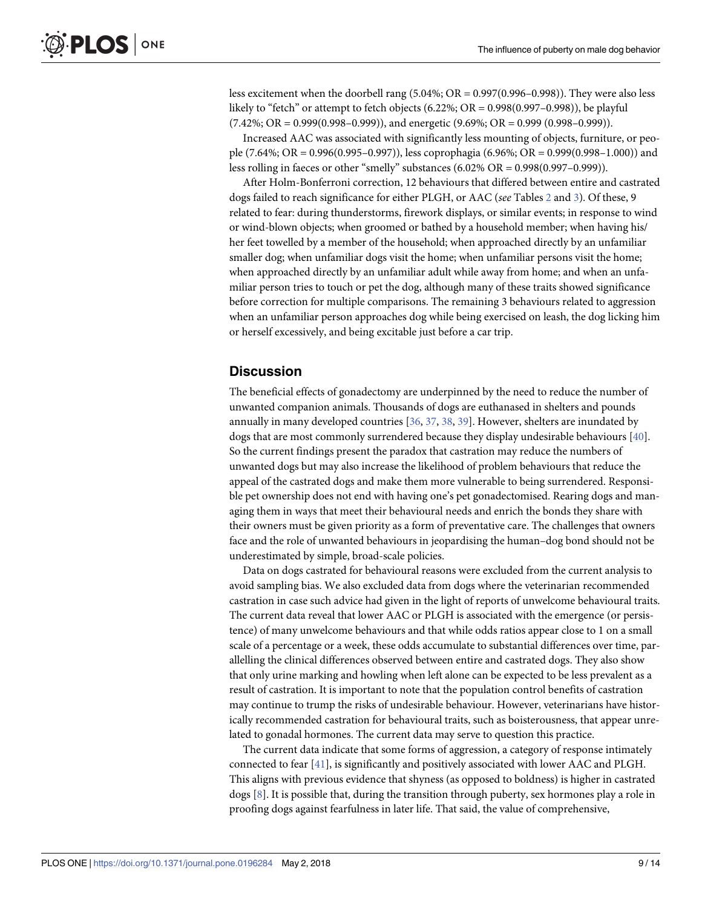<span id="page-8-0"></span>less excitement when the doorbell rang (5.04%; OR = 0.997(0.996–0.998)). They were also less likely to "fetch" or attempt to fetch objects  $(6.22\%; OR = 0.998(0.997-0.998))$ , be playful  $(7.42\%; OR = 0.999(0.998-0.999))$ , and energetic  $(9.69\%; OR = 0.999 (0.998-0.999))$ .

Increased AAC was associated with significantly less mounting of objects, furniture, or people (7.64%; OR = 0.996(0.995–0.997)), less coprophagia (6.96%; OR = 0.999(0.998–1.000)) and less rolling in faeces or other "smelly" substances (6.02% OR = 0.998(0.997–0.999)).

After Holm-Bonferroni correction, 12 behaviours that differed between entire and castrated dogs failed to reach significance for either PLGH, or AAC (*see* Tables [2](#page-7-0) and [3](#page-7-0)). Of these, 9 related to fear: during thunderstorms, firework displays, or similar events; in response to wind or wind-blown objects; when groomed or bathed by a household member; when having his/ her feet towelled by a member of the household; when approached directly by an unfamiliar smaller dog; when unfamiliar dogs visit the home; when unfamiliar persons visit the home; when approached directly by an unfamiliar adult while away from home; and when an unfamiliar person tries to touch or pet the dog, although many of these traits showed significance before correction for multiple comparisons. The remaining 3 behaviours related to aggression when an unfamiliar person approaches dog while being exercised on leash, the dog licking him or herself excessively, and being excitable just before a car trip.

# **Discussion**

The beneficial effects of gonadectomy are underpinned by the need to reduce the number of unwanted companion animals. Thousands of dogs are euthanased in shelters and pounds annually in many developed countries [\[36,](#page-13-0) [37,](#page-13-0) [38,](#page-13-0) [39\]](#page-13-0). However, shelters are inundated by dogs that are most commonly surrendered because they display undesirable behaviours [\[40\]](#page-13-0). So the current findings present the paradox that castration may reduce the numbers of unwanted dogs but may also increase the likelihood of problem behaviours that reduce the appeal of the castrated dogs and make them more vulnerable to being surrendered. Responsible pet ownership does not end with having one's pet gonadectomised. Rearing dogs and managing them in ways that meet their behavioural needs and enrich the bonds they share with their owners must be given priority as a form of preventative care. The challenges that owners face and the role of unwanted behaviours in jeopardising the human–dog bond should not be underestimated by simple, broad-scale policies.

Data on dogs castrated for behavioural reasons were excluded from the current analysis to avoid sampling bias. We also excluded data from dogs where the veterinarian recommended castration in case such advice had given in the light of reports of unwelcome behavioural traits. The current data reveal that lower AAC or PLGH is associated with the emergence (or persistence) of many unwelcome behaviours and that while odds ratios appear close to 1 on a small scale of a percentage or a week, these odds accumulate to substantial differences over time, parallelling the clinical differences observed between entire and castrated dogs. They also show that only urine marking and howling when left alone can be expected to be less prevalent as a result of castration. It is important to note that the population control benefits of castration may continue to trump the risks of undesirable behaviour. However, veterinarians have historically recommended castration for behavioural traits, such as boisterousness, that appear unrelated to gonadal hormones. The current data may serve to question this practice.

The current data indicate that some forms of aggression, a category of response intimately connected to fear [\[41\]](#page-13-0), is significantly and positively associated with lower AAC and PLGH. This aligns with previous evidence that shyness (as opposed to boldness) is higher in castrated dogs [\[8\]](#page-11-0). It is possible that, during the transition through puberty, sex hormones play a role in proofing dogs against fearfulness in later life. That said, the value of comprehensive,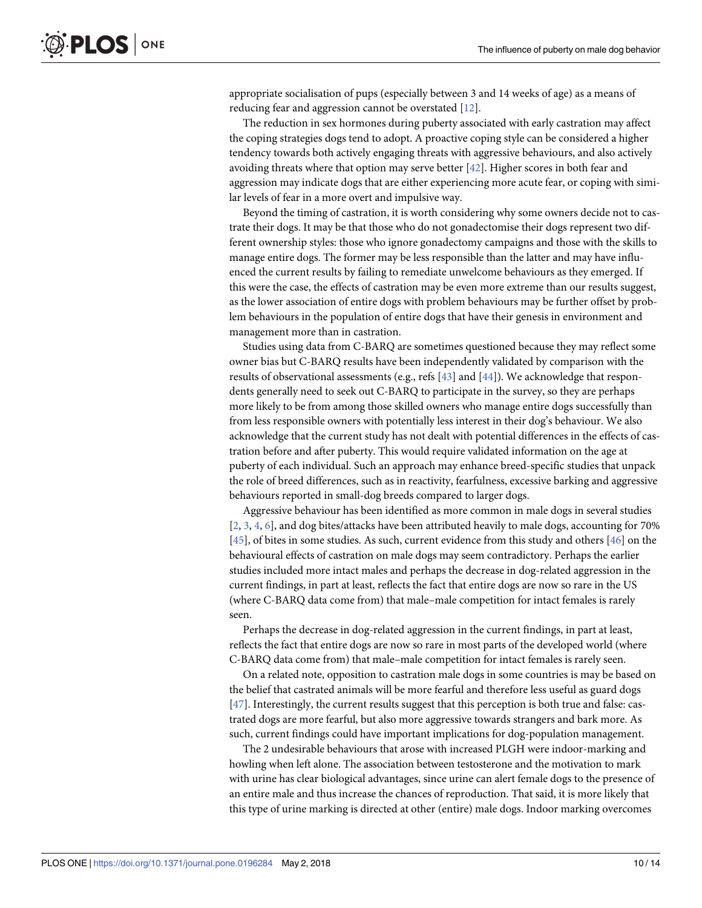<span id="page-9-0"></span>appropriate socialisation of pups (especially between 3 and 14 weeks of age) as a means of reducing fear and aggression cannot be overstated [[12](#page-12-0)].

The reduction in sex hormones during puberty associated with early castration may affect the coping strategies dogs tend to adopt. A proactive coping style can be considered a higher tendency towards both actively engaging threats with aggressive behaviours, and also actively avoiding threats where that option may serve better  $[42]$  $[42]$  $[42]$ . Higher scores in both fear and aggression may indicate dogs that are either experiencing more acute fear, or coping with similar levels of fear in a more overt and impulsive way.

Beyond the timing of castration, it is worth considering why some owners decide not to castrate their dogs. It may be that those who do not gonadectomise their dogs represent two different ownership styles: those who ignore gonadectomy campaigns and those with the skills to manage entire dogs. The former may be less responsible than the latter and may have influenced the current results by failing to remediate unwelcome behaviours as they emerged. If this were the case, the effects of castration may be even more extreme than our results suggest, as the lower association of entire dogs with problem behaviours may be further offset by problem behaviours in the population of entire dogs that have their genesis in environment and management more than in castration.

Studies using data from C-BARQ are sometimes questioned because they may reflect some owner bias but C-BARQ results have been independently validated by comparison with the results of observational assessments (e.g., refs [\[43\]](#page-13-0) and [[44](#page-13-0)]). We acknowledge that respondents generally need to seek out C-BARQ to participate in the survey, so they are perhaps more likely to be from among those skilled owners who manage entire dogs successfully than from less responsible owners with potentially less interest in their dog's behaviour. We also acknowledge that the current study has not dealt with potential differences in the effects of castration before and after puberty. This would require validated information on the age at puberty of each individual. Such an approach may enhance breed-specific studies that unpack the role of breed differences, such as in reactivity, fearfulness, excessive barking and aggressive behaviours reported in small-dog breeds compared to larger dogs.

Aggressive behaviour has been identified as more common in male dogs in several studies [\[2](#page-11-0), [3](#page-11-0), [4,](#page-11-0) [6\]](#page-11-0), and dog bites/attacks have been attributed heavily to male dogs, accounting for 70% [\[45\]](#page-13-0), of bites in some studies. As such, current evidence from this study and others [\[46\]](#page-13-0) on the behavioural effects of castration on male dogs may seem contradictory. Perhaps the earlier studies included more intact males and perhaps the decrease in dog-related aggression in the current findings, in part at least, reflects the fact that entire dogs are now so rare in the US (where C-BARQ data come from) that male–male competition for intact females is rarely seen.

Perhaps the decrease in dog-related aggression in the current findings, in part at least, reflects the fact that entire dogs are now so rare in most parts of the developed world (where C-BARQ data come from) that male–male competition for intact females is rarely seen.

On a related note, opposition to castration male dogs in some countries is may be based on the belief that castrated animals will be more fearful and therefore less useful as guard dogs [\[47\]](#page-13-0). Interestingly, the current results suggest that this perception is both true and false: castrated dogs are more fearful, but also more aggressive towards strangers and bark more. As such, current findings could have important implications for dog-population management.

The 2 undesirable behaviours that arose with increased PLGH were indoor-marking and howling when left alone. The association between testosterone and the motivation to mark with urine has clear biological advantages, since urine can alert female dogs to the presence of an entire male and thus increase the chances of reproduction. That said, it is more likely that this type of urine marking is directed at other (entire) male dogs. Indoor marking overcomes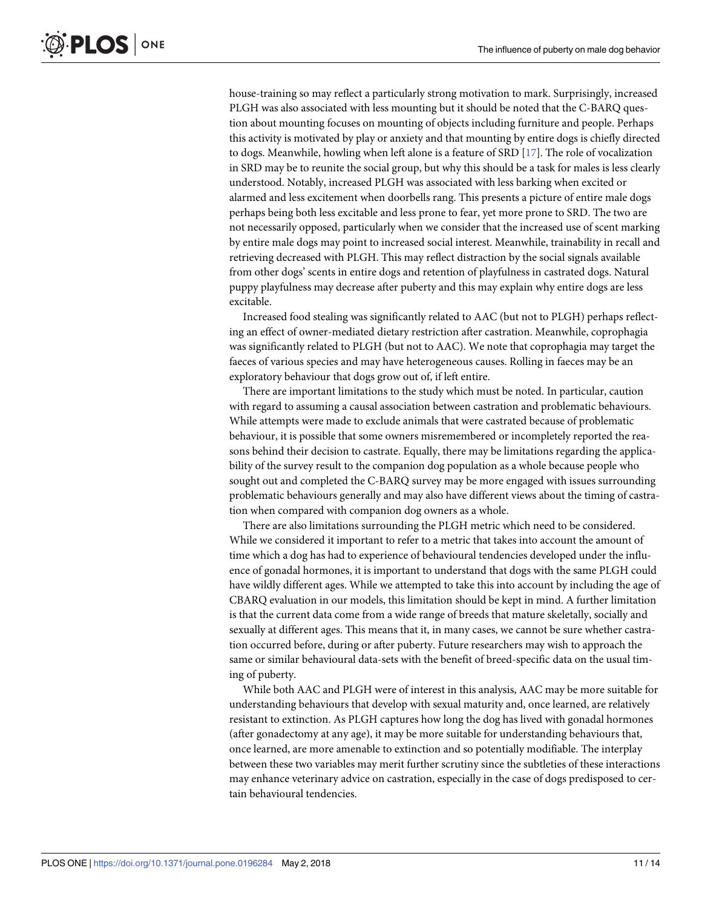house-training so may reflect a particularly strong motivation to mark. Surprisingly, increased PLGH was also associated with less mounting but it should be noted that the C-BARQ question about mounting focuses on mounting of objects including furniture and people. Perhaps this activity is motivated by play or anxiety and that mounting by entire dogs is chiefly directed to dogs. Meanwhile, howling when left alone is a feature of SRD [\[17\]](#page-12-0). The role of vocalization in SRD may be to reunite the social group, but why this should be a task for males is less clearly understood. Notably, increased PLGH was associated with less barking when excited or alarmed and less excitement when doorbells rang. This presents a picture of entire male dogs perhaps being both less excitable and less prone to fear, yet more prone to SRD. The two are not necessarily opposed, particularly when we consider that the increased use of scent marking by entire male dogs may point to increased social interest. Meanwhile, trainability in recall and retrieving decreased with PLGH. This may reflect distraction by the social signals available from other dogs' scents in entire dogs and retention of playfulness in castrated dogs. Natural puppy playfulness may decrease after puberty and this may explain why entire dogs are less excitable.

Increased food stealing was significantly related to AAC (but not to PLGH) perhaps reflecting an effect of owner-mediated dietary restriction after castration. Meanwhile, coprophagia was significantly related to PLGH (but not to AAC). We note that coprophagia may target the faeces of various species and may have heterogeneous causes. Rolling in faeces may be an exploratory behaviour that dogs grow out of, if left entire.

There are important limitations to the study which must be noted. In particular, caution with regard to assuming a causal association between castration and problematic behaviours. While attempts were made to exclude animals that were castrated because of problematic behaviour, it is possible that some owners misremembered or incompletely reported the reasons behind their decision to castrate. Equally, there may be limitations regarding the applicability of the survey result to the companion dog population as a whole because people who sought out and completed the C-BARQ survey may be more engaged with issues surrounding problematic behaviours generally and may also have different views about the timing of castration when compared with companion dog owners as a whole.

There are also limitations surrounding the PLGH metric which need to be considered. While we considered it important to refer to a metric that takes into account the amount of time which a dog has had to experience of behavioural tendencies developed under the influence of gonadal hormones, it is important to understand that dogs with the same PLGH could have wildly different ages. While we attempted to take this into account by including the age of CBARQ evaluation in our models, this limitation should be kept in mind. A further limitation is that the current data come from a wide range of breeds that mature skeletally, socially and sexually at different ages. This means that it, in many cases, we cannot be sure whether castration occurred before, during or after puberty. Future researchers may wish to approach the same or similar behavioural data-sets with the benefit of breed-specific data on the usual timing of puberty.

While both AAC and PLGH were of interest in this analysis, AAC may be more suitable for understanding behaviours that develop with sexual maturity and, once learned, are relatively resistant to extinction. As PLGH captures how long the dog has lived with gonadal hormones (after gonadectomy at any age), it may be more suitable for understanding behaviours that, once learned, are more amenable to extinction and so potentially modifiable. The interplay between these two variables may merit further scrutiny since the subtleties of these interactions may enhance veterinary advice on castration, especially in the case of dogs predisposed to certain behavioural tendencies.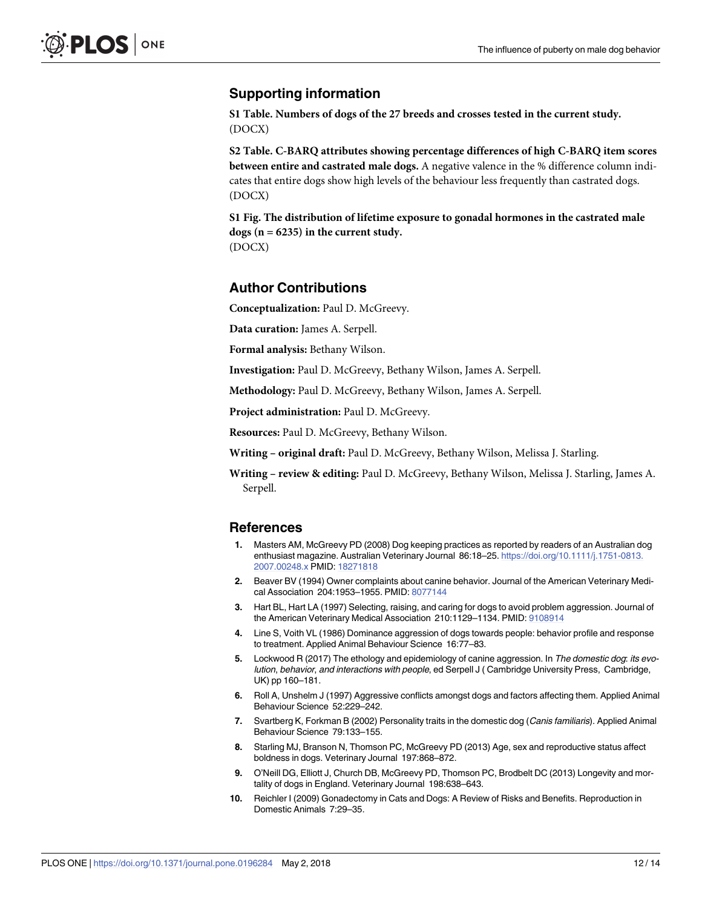# <span id="page-11-0"></span>**Supporting information**

**S1 [Table.](http://www.plosone.org/article/fetchSingleRepresentation.action?uri=info:doi/10.1371/journal.pone.0196284.s001) Numbers of dogs of the 27 breeds and crosses tested in the current study.** (DOCX)

**S2 [Table.](http://www.plosone.org/article/fetchSingleRepresentation.action?uri=info:doi/10.1371/journal.pone.0196284.s002) C-BARQ attributes showing percentage differences of high C-BARQ item scores between entire and castrated male dogs.** A negative valence in the % difference column indicates that entire dogs show high levels of the behaviour less frequently than castrated dogs. (DOCX)

**S1 [Fig](http://www.plosone.org/article/fetchSingleRepresentation.action?uri=info:doi/10.1371/journal.pone.0196284.s003). The distribution of lifetime exposure to gonadal hormones in the castrated male dogs (n = 6235) in the current study.** (DOCX)

# **Author Contributions**

**Conceptualization:** Paul D. McGreevy.

**Data curation:** James A. Serpell.

**Formal analysis:** Bethany Wilson.

**Investigation:** Paul D. McGreevy, Bethany Wilson, James A. Serpell.

**Methodology:** Paul D. McGreevy, Bethany Wilson, James A. Serpell.

**Project administration:** Paul D. McGreevy.

**Resources:** Paul D. McGreevy, Bethany Wilson.

**Writing – original draft:** Paul D. McGreevy, Bethany Wilson, Melissa J. Starling.

**Writing – review & editing:** Paul D. McGreevy, Bethany Wilson, Melissa J. Starling, James A. Serpell.

#### **References**

- **[1](#page-1-0).** Masters AM, McGreevy PD (2008) Dog keeping practices as reported by readers of an Australian dog enthusiast magazine. Australian Veterinary Journal 86:18–25. [https://doi.org/10.1111/j.1751-0813.](https://doi.org/10.1111/j.1751-0813.2007.00248.x) [2007.00248.x](https://doi.org/10.1111/j.1751-0813.2007.00248.x) PMID: [18271818](http://www.ncbi.nlm.nih.gov/pubmed/18271818)
- **[2](#page-1-0).** Beaver BV (1994) Owner complaints about canine behavior. Journal of the American Veterinary Medical Association 204:1953–1955. PMID: [8077144](http://www.ncbi.nlm.nih.gov/pubmed/8077144)
- **[3](#page-1-0).** Hart BL, Hart LA (1997) Selecting, raising, and caring for dogs to avoid problem aggression. Journal of the American Veterinary Medical Association 210:1129–1134. PMID: [9108914](http://www.ncbi.nlm.nih.gov/pubmed/9108914)
- **[4](#page-1-0).** Line S, Voith VL (1986) Dominance aggression of dogs towards people: behavior profile and response to treatment. Applied Animal Behaviour Science 16:77–83.
- **[5](#page-1-0).** Lockwood R (2017) The ethology and epidemiology of canine aggression. In The domestic dog: its evolution, behavior, and interactions with people, ed Serpell J ( Cambridge University Press, Cambridge, UK) pp 160–181.
- **[6](#page-1-0).** Roll A, Unshelm J (1997) Aggressive conflicts amongst dogs and factors affecting them. Applied Animal Behaviour Science 52:229–242.
- **[7](#page-1-0).** Svartberg K, Forkman B (2002) Personality traits in the domestic dog (Canis familiaris). Applied Animal Behaviour Science 79:133–155.
- **[8](#page-1-0).** Starling MJ, Branson N, Thomson PC, McGreevy PD (2013) Age, sex and reproductive status affect boldness in dogs. Veterinary Journal 197:868–872.
- **[9](#page-1-0).** O'Neill DG, Elliott J, Church DB, McGreevy PD, Thomson PC, Brodbelt DC (2013) Longevity and mortality of dogs in England. Veterinary Journal 198:638–643.
- **[10](#page-1-0).** Reichler I (2009) Gonadectomy in Cats and Dogs: A Review of Risks and Benefits. Reproduction in Domestic Animals 7:29–35.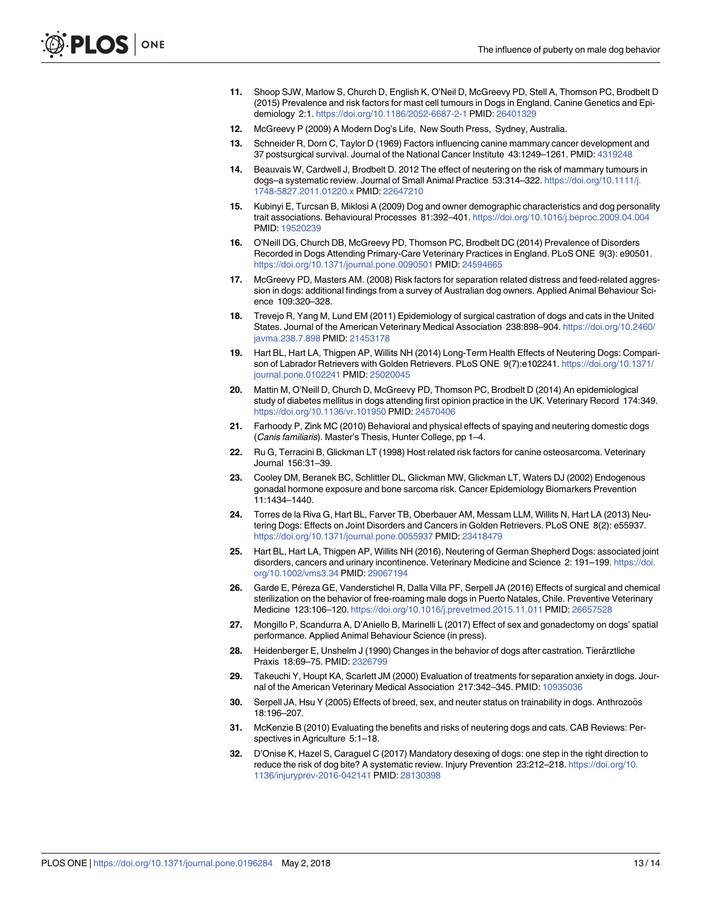- <span id="page-12-0"></span>**[11](#page-1-0).** Shoop SJW, Marlow S, Church D, English K, O'Neil D, McGreevy PD, Stell A, Thomson PC, Brodbelt D (2015) Prevalence and risk factors for mast cell tumours in Dogs in England. Canine Genetics and Epidemiology 2:1. <https://doi.org/10.1186/2052-6687-2-1> PMID: [26401329](http://www.ncbi.nlm.nih.gov/pubmed/26401329)
- **[12](#page-1-0).** McGreevy P (2009) A Modern Dog's Life, New South Press, Sydney, Australia.
- **[13](#page-1-0).** Schneider R, Dorn C, Taylor D (1969) Factors influencing canine mammary cancer development and 37 postsurgical survival. Journal of the National Cancer Institute 43:1249–1261. PMID: [4319248](http://www.ncbi.nlm.nih.gov/pubmed/4319248)
- **[14](#page-1-0).** Beauvais W, Cardwell J, Brodbelt D. 2012 The effect of neutering on the risk of mammary tumours in dogs–a systematic review. Journal of Small Animal Practice 53:314–322. [https://doi.org/10.1111/j.](https://doi.org/10.1111/j.1748-5827.2011.01220.x) [1748-5827.2011.01220.x](https://doi.org/10.1111/j.1748-5827.2011.01220.x) PMID: [22647210](http://www.ncbi.nlm.nih.gov/pubmed/22647210)
- **[15](#page-1-0).** Kubinyi E, Turcsan B, Miklosi A (2009) Dog and owner demographic characteristics and dog personality trait associations. Behavioural Processes 81:392–401. <https://doi.org/10.1016/j.beproc.2009.04.004> PMID: [19520239](http://www.ncbi.nlm.nih.gov/pubmed/19520239)
- **[16](#page-1-0).** O'Neill DG, Church DB, McGreevy PD, Thomson PC, Brodbelt DC (2014) Prevalence of Disorders Recorded in Dogs Attending Primary-Care Veterinary Practices in England. PLoS ONE 9(3): e90501. <https://doi.org/10.1371/journal.pone.0090501> PMID: [24594665](http://www.ncbi.nlm.nih.gov/pubmed/24594665)
- **[17](#page-1-0).** McGreevy PD, Masters AM. (2008) Risk factors for separation related distress and feed-related aggression in dogs: additional findings from a survey of Australian dog owners. Applied Animal Behaviour Science 109:320–328.
- **[18](#page-1-0).** Trevejo R, Yang M, Lund EM (2011) Epidemiology of surgical castration of dogs and cats in the United States. Journal of the American Veterinary Medical Association 238:898–904. [https://doi.org/10.2460/](https://doi.org/10.2460/javma.238.7.898) [javma.238.7.898](https://doi.org/10.2460/javma.238.7.898) PMID: [21453178](http://www.ncbi.nlm.nih.gov/pubmed/21453178)
- **[19](#page-1-0).** Hart BL, Hart LA, Thigpen AP, Willits NH (2014) Long-Term Health Effects of Neutering Dogs: Comparison of Labrador Retrievers with Golden Retrievers. PLoS ONE 9(7):e102241. [https://doi.org/10.1371/](https://doi.org/10.1371/journal.pone.0102241) [journal.pone.0102241](https://doi.org/10.1371/journal.pone.0102241) PMID: [25020045](http://www.ncbi.nlm.nih.gov/pubmed/25020045)
- **[20](#page-1-0).** Mattin M, O'Neill D, Church D, McGreevy PD, Thomson PC, Brodbelt D (2014) An epidemiological study of diabetes mellitus in dogs attending first opinion practice in the UK. Veterinary Record 174:349. <https://doi.org/10.1136/vr.101950> PMID: [24570406](http://www.ncbi.nlm.nih.gov/pubmed/24570406)
- **[21](#page-1-0).** Farhoody P, Zink MC (2010) Behavioral and physical effects of spaying and neutering domestic dogs (Canis familiaris). Master's Thesis, Hunter College, pp 1–4.
- **[22](#page-1-0).** Ru G, Terracini B, Glickman LT (1998) Host related risk factors for canine osteosarcoma. Veterinary Journal 156:31–39.
- **[23](#page-1-0).** Cooley DM, Beranek BC, Schlittler DL, Glickman MW, Glickman LT, Waters DJ (2002) Endogenous gonadal hormone exposure and bone sarcoma risk. Cancer Epidemiology Biomarkers Prevention 11:1434–1440.
- **[24](#page-1-0).** Torres de la Riva G, Hart BL, Farver TB, Oberbauer AM, Messam LLM, Willits N, Hart LA (2013) Neutering Dogs: Effects on Joint Disorders and Cancers in Golden Retrievers. PLoS ONE 8(2): e55937. <https://doi.org/10.1371/journal.pone.0055937> PMID: [23418479](http://www.ncbi.nlm.nih.gov/pubmed/23418479)
- **[25](#page-1-0).** Hart BL, Hart LA, Thigpen AP, Willits NH (2016), Neutering of German Shepherd Dogs: associated joint disorders, cancers and urinary incontinence. Veterinary Medicine and Science 2: 191–199. [https://doi.](https://doi.org/10.1002/vms3.34) [org/10.1002/vms3.34](https://doi.org/10.1002/vms3.34) PMID: [29067194](http://www.ncbi.nlm.nih.gov/pubmed/29067194)
- [26](#page-2-0). Garde E, Péreza GE, Vanderstichel R, Dalla Villa PF, Serpell JA (2016) Effects of surgical and chemical sterilization on the behavior of free-roaming male dogs in Puerto Natales, Chile. Preventive Veterinary Medicine 123:106–120. <https://doi.org/10.1016/j.prevetmed.2015.11.011> PMID: [26657528](http://www.ncbi.nlm.nih.gov/pubmed/26657528)
- **[27](#page-2-0).** Mongillo P, Scandurra A, D'Aniello B, Marinelli L (2017) Effect of sex and gonadectomy on dogs' spatial performance. Applied Animal Behaviour Science (in press).
- **[28](#page-2-0).** Heidenberger E, Unshelm J (1990) Changes in the behavior of dogs after castration. Tierärztliche Praxis 18:69–75. PMID: [2326799](http://www.ncbi.nlm.nih.gov/pubmed/2326799)
- **[29](#page-2-0).** Takeuchi Y, Houpt KA, Scarlett JM (2000) Evaluation of treatments for separation anxiety in dogs. Journal of the American Veterinary Medical Association 217:342–345. PMID: [10935036](http://www.ncbi.nlm.nih.gov/pubmed/10935036)
- **[30](#page-2-0).** Serpell JA, Hsu Y (2005) Effects of breed, sex, and neuter status on trainability in dogs. Anthrozoös 18:196–207.
- **[31](#page-2-0).** McKenzie B (2010) Evaluating the benefits and risks of neutering dogs and cats. CAB Reviews: Perspectives in Agriculture 5:1–18.
- **[32](#page-2-0).** D'Onise K, Hazel S, Caraguel C (2017) Mandatory desexing of dogs: one step in the right direction to reduce the risk of dog bite? A systematic review. Injury Prevention 23:212–218. [https://doi.org/10.](https://doi.org/10.1136/injuryprev-2016-042141) [1136/injuryprev-2016-042141](https://doi.org/10.1136/injuryprev-2016-042141) PMID: [28130398](http://www.ncbi.nlm.nih.gov/pubmed/28130398)